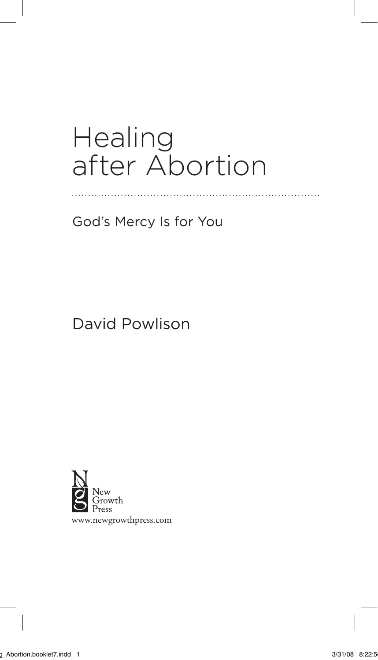## **Healing** after Abortion

. . . . . . . . . . . . . . . . . .

God's Mercy Is for You

David Powlison



www.newgrowthpress.com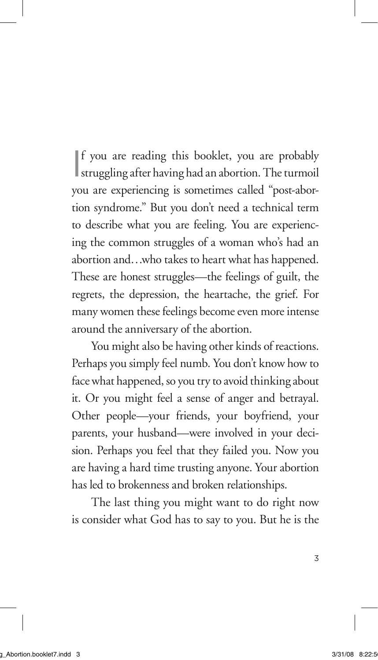If you are reading this booklet, you are probably<br>struggling after having had an abortion. The turmoil f you are reading this booklet, you are probably you are experiencing is sometimes called "post-abortion syndrome." But you don't need a technical term to describe what you are feeling. You are experiencing the common struggles of a woman who's had an abortion and…who takes to heart what has happened. These are honest struggles—the feelings of guilt, the regrets, the depression, the heartache, the grief. For many women these feelings become even more intense around the anniversary of the abortion.

You might also be having other kinds of reactions. Perhaps you simply feel numb. You don't know how to face what happened, so you try to avoid thinking about it. Or you might feel a sense of anger and betrayal. Other people—your friends, your boyfriend, your parents, your husband—were involved in your decision. Perhaps you feel that they failed you. Now you are having a hard time trusting anyone. Your abortion has led to brokenness and broken relationships.

The last thing you might want to do right now is consider what God has to say to you. But he is the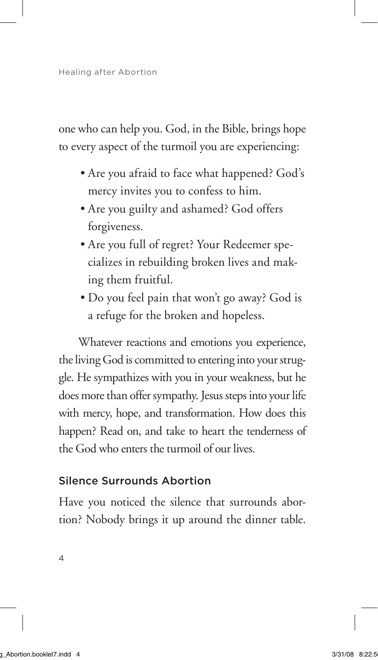one who can help you. God, in the Bible, brings hope to every aspect of the turmoil you are experiencing:

- Are you afraid to face what happened? God's mercy invites you to confess to him.
- Are you guilty and ashamed? God offers forgiveness.
- Are you full of regret? Your Redeemer specializes in rebuilding broken lives and making them fruitful.
- Do you feel pain that won't go away? God is a refuge for the broken and hopeless.

Whatever reactions and emotions you experience, the living God is committed to entering into your struggle. He sympathizes with you in your weakness, but he does more than offer sympathy. Jesus steps into your life with mercy, hope, and transformation. How does this happen? Read on, and take to heart the tenderness of the God who enters the turmoil of our lives.

## Silence Surrounds Abortion

Have you noticed the silence that surrounds abortion? Nobody brings it up around the dinner table.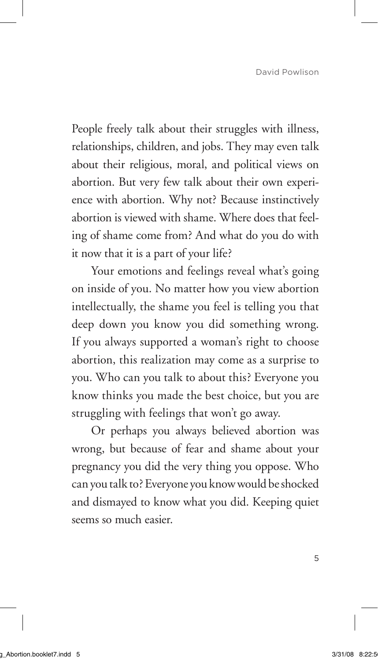People freely talk about their struggles with illness, relationships, children, and jobs. They may even talk about their religious, moral, and political views on abortion. But very few talk about their own experience with abortion. Why not? Because instinctively abortion is viewed with shame. Where does that feeling of shame come from? And what do you do with it now that it is a part of your life?

Your emotions and feelings reveal what's going on inside of you. No matter how you view abortion intellectually, the shame you feel is telling you that deep down you know you did something wrong. If you always supported a woman's right to choose abortion, this realization may come as a surprise to you. Who can you talk to about this? Everyone you know thinks you made the best choice, but you are struggling with feelings that won't go away.

Or perhaps you always believed abortion was wrong, but because of fear and shame about your pregnancy you did the very thing you oppose. Who can you talk to? Everyone you know would be shocked and dismayed to know what you did. Keeping quiet seems so much easier.